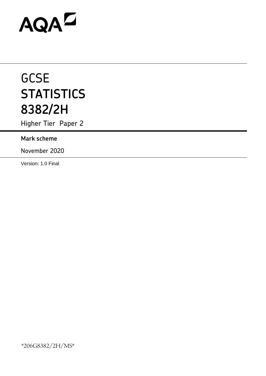# AQAD

# **GCSE STATISTICS 8382/2H**

Higher Tier Paper 2

# **Mark scheme**

November 2020

Version: 1.0 Final

\*206G8382/2H/MS\*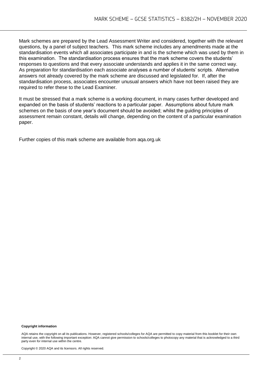Mark schemes are prepared by the Lead Assessment Writer and considered, together with the relevant questions, by a panel of subject teachers. This mark scheme includes any amendments made at the standardisation events which all associates participate in and is the scheme which was used by them in this examination. The standardisation process ensures that the mark scheme covers the students' responses to questions and that every associate understands and applies it in the same correct way. As preparation for standardisation each associate analyses a number of students' scripts. Alternative answers not already covered by the mark scheme are discussed and legislated for. If, after the standardisation process, associates encounter unusual answers which have not been raised they are required to refer these to the Lead Examiner.

It must be stressed that a mark scheme is a working document, in many cases further developed and expanded on the basis of students' reactions to a particular paper. Assumptions about future mark schemes on the basis of one year's document should be avoided; whilst the guiding principles of assessment remain constant, details will change, depending on the content of a particular examination paper.

Further copies of this mark scheme are available from aqa.org.uk

#### **Copyright information**

AQA retains the copyright on all its publications. However, registered schools/colleges for AQA are permitted to copy material from this booklet for their own internal use, with the following important exception: AQA cannot give permission to schools/colleges to photocopy any material that is acknowledged to a third party even for internal use within the centre.

Copyright © 2020 AQA and its licensors. All rights reserved.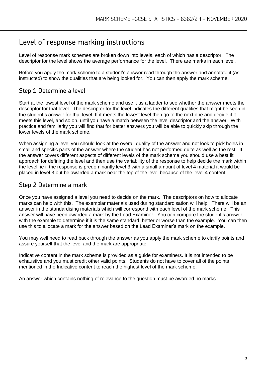# Level of response marking instructions

Level of response mark schemes are broken down into levels, each of which has a descriptor. The descriptor for the level shows the average performance for the level. There are marks in each level.

Before you apply the mark scheme to a student's answer read through the answer and annotate it (as instructed) to show the qualities that are being looked for. You can then apply the mark scheme.

## Step 1 Determine a level

Start at the lowest level of the mark scheme and use it as a ladder to see whether the answer meets the descriptor for that level. The descriptor for the level indicates the different qualities that might be seen in the student's answer for that level. If it meets the lowest level then go to the next one and decide if it meets this level, and so on, until you have a match between the level descriptor and the answer. With practice and familiarity you will find that for better answers you will be able to quickly skip through the lower levels of the mark scheme.

When assigning a level you should look at the overall quality of the answer and not look to pick holes in small and specific parts of the answer where the student has not performed quite as well as the rest. If the answer covers different aspects of different levels of the mark scheme you should use a best fit approach for defining the level and then use the variability of the response to help decide the mark within the level, ie if the response is predominantly level 3 with a small amount of level 4 material it would be placed in level 3 but be awarded a mark near the top of the level because of the level 4 content.

### Step 2 Determine a mark

Once you have assigned a level you need to decide on the mark. The descriptors on how to allocate marks can help with this. The exemplar materials used during standardisation will help. There will be an answer in the standardising materials which will correspond with each level of the mark scheme. This answer will have been awarded a mark by the Lead Examiner. You can compare the student's answer with the example to determine if it is the same standard, better or worse than the example. You can then use this to allocate a mark for the answer based on the Lead Examiner's mark on the example.

You may well need to read back through the answer as you apply the mark scheme to clarify points and assure yourself that the level and the mark are appropriate.

Indicative content in the mark scheme is provided as a guide for examiners. It is not intended to be exhaustive and you must credit other valid points. Students do not have to cover all of the points mentioned in the Indicative content to reach the highest level of the mark scheme.

An answer which contains nothing of relevance to the question must be awarded no marks.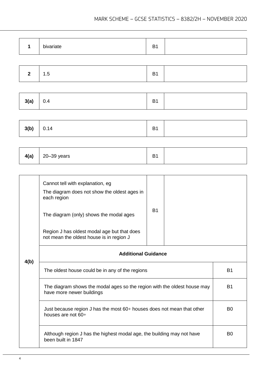|  | bivariate | B |  |
|--|-----------|---|--|
|--|-----------|---|--|

|--|--|

| 3(a) | 0.4 | D <sub>4</sub><br>DI |  |
|------|-----|----------------------|--|
|------|-----|----------------------|--|

| 3(b) | 0.14 | B <sub>1</sub> |  |
|------|------|----------------|--|
|------|------|----------------|--|

| 4(a) | $20 - 39$ years | D.<br>. .<br>-<br>ו ט |  |
|------|-----------------|-----------------------|--|
|------|-----------------|-----------------------|--|

|      | Cannot tell with explanation, eg<br>The diagram does not show the oldest ages in<br>each region<br>The diagram (only) shows the modal ages<br>Region J has oldest modal age but that does<br>not mean the oldest house is in region J | <b>B1</b> |  |                |
|------|---------------------------------------------------------------------------------------------------------------------------------------------------------------------------------------------------------------------------------------|-----------|--|----------------|
| 4(b) | <b>Additional Guidance</b>                                                                                                                                                                                                            |           |  |                |
|      | The oldest house could be in any of the regions                                                                                                                                                                                       |           |  | <b>B1</b>      |
|      | The diagram shows the modal ages so the region with the oldest house may<br>have more newer buildings                                                                                                                                 |           |  | <b>B1</b>      |
|      | Just because region J has the most $60+$ houses does not mean that other<br>houses are not $60+$                                                                                                                                      |           |  | B <sub>0</sub> |
|      | Although region J has the highest modal age, the building may not have<br>been built in 1847                                                                                                                                          |           |  | B <sub>0</sub> |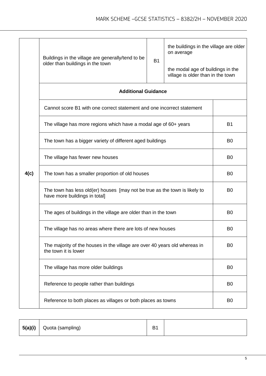|      | Buildings in the village are generally/tend to be<br>older than buildings in the town                       | <b>B1</b>      | the buildings in the village are older<br>on average<br>the modal age of buildings in the<br>village is older than in the town |           |
|------|-------------------------------------------------------------------------------------------------------------|----------------|--------------------------------------------------------------------------------------------------------------------------------|-----------|
|      | <b>Additional Guidance</b>                                                                                  |                |                                                                                                                                |           |
|      | Cannot score B1 with one correct statement and one incorrect statement                                      |                |                                                                                                                                |           |
|      | The village has more regions which have a modal age of 60+ years                                            |                |                                                                                                                                | <b>B1</b> |
|      | The town has a bigger variety of different aged buildings                                                   | B <sub>0</sub> |                                                                                                                                |           |
|      | The village has fewer new houses                                                                            | B <sub>0</sub> |                                                                                                                                |           |
| 4(c) | The town has a smaller proportion of old houses                                                             | B <sub>0</sub> |                                                                                                                                |           |
|      | The town has less old(er) houses [may not be true as the town is likely to<br>have more buildings in total] | B <sub>0</sub> |                                                                                                                                |           |
|      | The ages of buildings in the village are older than in the town                                             | B <sub>0</sub> |                                                                                                                                |           |
|      | The village has no areas where there are lots of new houses                                                 | B <sub>0</sub> |                                                                                                                                |           |
|      | The majority of the houses in the village are over 40 years old whereas in<br>the town it is lower          | B <sub>0</sub> |                                                                                                                                |           |
|      | The village has more older buildings                                                                        | B <sub>0</sub> |                                                                                                                                |           |
|      | Reference to people rather than buildings                                                                   | B <sub>0</sub> |                                                                                                                                |           |
|      | Reference to both places as villages or both places as towns                                                | B <sub>0</sub> |                                                                                                                                |           |

|  | $5(a)(i)$ Quota (sampling) | B <sub>1</sub> |  |
|--|----------------------------|----------------|--|
|--|----------------------------|----------------|--|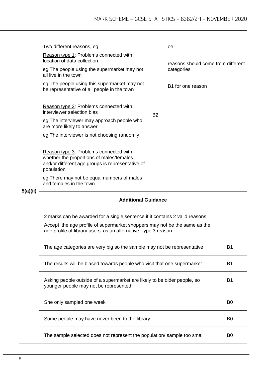|          | Two different reasons, eg<br>Reason type 1: Problems connected with<br>location of data collection<br>eg The people using the supermarket may not<br>all live in the town<br>eg The people using this supermarket may not<br>be representative of all people in the town<br>Reason type 2: Problems connected with<br>interviewer selection bias<br>eg The interviewer may approach people who<br>are more likely to answer<br>eg The interviewer is not choosing randomly<br>Reason type 3: Problems connected with<br>whether the proportions of males/females<br>and/or different age groups is representative of<br>population | <b>B2</b>      | оe<br>reasons should come from different<br>categories<br>B1 for one reason |                |  |
|----------|------------------------------------------------------------------------------------------------------------------------------------------------------------------------------------------------------------------------------------------------------------------------------------------------------------------------------------------------------------------------------------------------------------------------------------------------------------------------------------------------------------------------------------------------------------------------------------------------------------------------------------|----------------|-----------------------------------------------------------------------------|----------------|--|
|          | eg There may not be equal numbers of males<br>and females in the town                                                                                                                                                                                                                                                                                                                                                                                                                                                                                                                                                              |                |                                                                             |                |  |
| 5(a)(ii) | <b>Additional Guidance</b>                                                                                                                                                                                                                                                                                                                                                                                                                                                                                                                                                                                                         |                |                                                                             |                |  |
|          | 2 marks can be awarded for a single sentence if it contains 2 valid reasons.<br>Accept 'the age profile of supermarket shoppers may not be the same as the<br>age profile of library users' as an alternative Type 3 reason.                                                                                                                                                                                                                                                                                                                                                                                                       |                |                                                                             |                |  |
|          | The age categories are very big so the sample may not be representative                                                                                                                                                                                                                                                                                                                                                                                                                                                                                                                                                            | <b>B1</b>      |                                                                             |                |  |
|          | The results will be biased towards people who visit that one supermarket                                                                                                                                                                                                                                                                                                                                                                                                                                                                                                                                                           | <b>B1</b>      |                                                                             |                |  |
|          | Asking people outside of a supermarket are likely to be older people, so<br>younger people may not be represented                                                                                                                                                                                                                                                                                                                                                                                                                                                                                                                  | <b>B1</b>      |                                                                             |                |  |
|          | She only sampled one week                                                                                                                                                                                                                                                                                                                                                                                                                                                                                                                                                                                                          | B <sub>0</sub> |                                                                             |                |  |
|          | Some people may have never been to the library                                                                                                                                                                                                                                                                                                                                                                                                                                                                                                                                                                                     | B <sub>0</sub> |                                                                             |                |  |
|          | The sample selected does not represent the population/ sample too small                                                                                                                                                                                                                                                                                                                                                                                                                                                                                                                                                            |                |                                                                             | B <sub>0</sub> |  |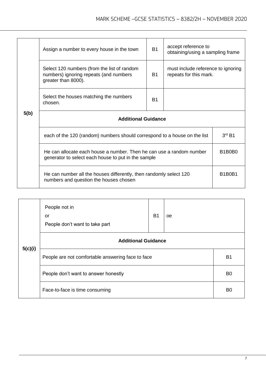|      | Assign a number to every house in the town                                                                                  | <b>B1</b>                                    | accept reference to<br>obtaining/using a sampling frame      |  |  |
|------|-----------------------------------------------------------------------------------------------------------------------------|----------------------------------------------|--------------------------------------------------------------|--|--|
|      | Select 120 numbers (from the list of random<br>numbers) ignoring repeats (and numbers<br>greater than 8000).                | <b>B1</b>                                    | must include reference to ignoring<br>repeats for this mark. |  |  |
|      | Select the houses matching the numbers<br>chosen.                                                                           | B <sub>1</sub>                               |                                                              |  |  |
| 5(b) | <b>Additional Guidance</b>                                                                                                  |                                              |                                                              |  |  |
|      | each of the 120 (random) numbers should correspond to a house on the list                                                   | $3rd$ B1                                     |                                                              |  |  |
|      | He can allocate each house a number. Then he can use a random number<br>generator to select each house to put in the sample |                                              |                                                              |  |  |
|      | He can number all the houses differently, then randomly select 120<br>numbers and question the houses chosen                | B <sub>1</sub> B <sub>0</sub> B <sub>1</sub> |                                                              |  |  |

|         | People not in<br><b>B1</b><br>oe<br>or<br>People don't want to take part |  |  |                |
|---------|--------------------------------------------------------------------------|--|--|----------------|
|         | <b>Additional Guidance</b>                                               |  |  |                |
| 5(c)(i) | People are not comfortable answering face to face                        |  |  | B <sub>1</sub> |
|         | People don't want to answer honestly                                     |  |  | B <sub>0</sub> |
|         | Face-to-face is time consuming                                           |  |  | B <sub>0</sub> |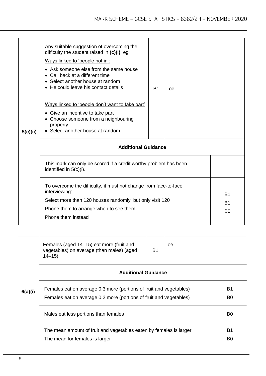| 5(c)(ii) | Any suitable suggestion of overcoming the<br>difficulty the student raised in $(c)(i)$ , eg<br>Ways linked to 'people not in':<br>• Ask someone else from the same house<br>Call back at a different time<br>$\bullet$<br>• Select another house at random<br>• He could leave his contact details<br>Ways linked to 'people don't want to take part'<br>• Give an incentive to take part<br>• Choose someone from a neighbouring<br>property<br>• Select another house at random | <b>B1</b>                                | 0e |  |  |
|----------|-----------------------------------------------------------------------------------------------------------------------------------------------------------------------------------------------------------------------------------------------------------------------------------------------------------------------------------------------------------------------------------------------------------------------------------------------------------------------------------|------------------------------------------|----|--|--|
|          | <b>Additional Guidance</b>                                                                                                                                                                                                                                                                                                                                                                                                                                                        |                                          |    |  |  |
|          | This mark can only be scored if a credit worthy problem has been<br>identified in 5(c)(i).                                                                                                                                                                                                                                                                                                                                                                                        |                                          |    |  |  |
|          | To overcome the difficulty, it must not change from face-to-face<br>interviewing:<br>Select more than 120 houses randomly, but only visit 120<br>Phone them to arrange when to see them<br>Phone them instead                                                                                                                                                                                                                                                                     | <b>B1</b><br><b>B1</b><br>B <sub>0</sub> |    |  |  |

|         | Females (aged 14–15) eat more (fruit and<br>vegetables) on average (than males) (aged<br>$14 - 15$                                       | <b>B1</b>                   | 0e |  |
|---------|------------------------------------------------------------------------------------------------------------------------------------------|-----------------------------|----|--|
|         | <b>Additional Guidance</b>                                                                                                               |                             |    |  |
| 6(a)(i) | Females eat on average 0.3 more (portions of fruit and vegetables)<br>Females eat on average 0.2 more (portions of fruit and vegetables) | <b>B1</b><br>B <sub>0</sub> |    |  |
|         | Males eat less portions than females                                                                                                     | B <sub>0</sub>              |    |  |
|         | The mean amount of fruit and vegetables eaten by females is larger<br>The mean for females is larger                                     | <b>B1</b><br>B <sub>0</sub> |    |  |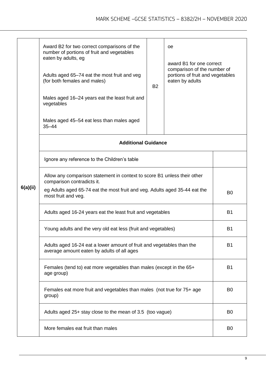|          | Award B2 for two correct comparisons of the<br>number of portions of fruit and vegetables<br>eaten by adults, eg<br>Adults aged 65–74 eat the most fruit and veg<br>(for both females and males) | <b>B2</b>      | award B1 for one correct<br>comparison of the number of<br>portions of fruit and vegetables |  |
|----------|--------------------------------------------------------------------------------------------------------------------------------------------------------------------------------------------------|----------------|---------------------------------------------------------------------------------------------|--|
|          | Males aged 16–24 years eat the least fruit and<br>vegetables<br>Males aged 45–54 eat less than males aged<br>$35 - 44$                                                                           |                |                                                                                             |  |
|          | <b>Additional Guidance</b>                                                                                                                                                                       |                |                                                                                             |  |
|          | Ignore any reference to the Children's table                                                                                                                                                     |                |                                                                                             |  |
|          | Allow any comparison statement in context to score B1 unless their other<br>comparison contradicts it.                                                                                           |                |                                                                                             |  |
| 6(a)(ii) | eg Adults aged 65-74 eat the most fruit and veg. Adults aged 35-44 eat the<br>most fruit and veg.                                                                                                | B <sub>0</sub> |                                                                                             |  |
|          | Adults aged 16-24 years eat the least fruit and vegetables                                                                                                                                       | <b>B1</b>      |                                                                                             |  |
|          | Young adults and the very old eat less (fruit and vegetables)                                                                                                                                    | <b>B1</b>      |                                                                                             |  |
|          | Adults aged 16-24 eat a lower amount of fruit and vegetables than the<br>average amount eaten by adults of all ages                                                                              | <b>B1</b>      |                                                                                             |  |
|          | Females (tend to) eat more vegetables than males (except in the 65+<br>age group)                                                                                                                | <b>B1</b>      |                                                                                             |  |
|          | Females eat more fruit and vegetables than males (not true for 75+ age<br>group)                                                                                                                 | B <sub>0</sub> |                                                                                             |  |
|          | Adults aged 25+ stay close to the mean of 3.5 (too vague)                                                                                                                                        | B <sub>0</sub> |                                                                                             |  |
|          | More females eat fruit than males                                                                                                                                                                | B <sub>0</sub> |                                                                                             |  |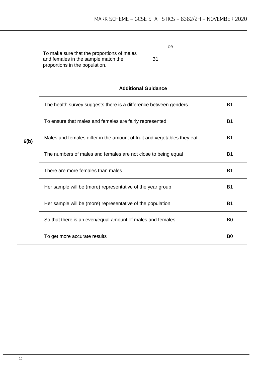|      | To make sure that the proportions of males<br>and females in the sample match the<br>proportions in the population. | <b>B1</b> | oe |                |  |
|------|---------------------------------------------------------------------------------------------------------------------|-----------|----|----------------|--|
|      | <b>Additional Guidance</b>                                                                                          |           |    |                |  |
|      | The health survey suggests there is a difference between genders                                                    |           |    |                |  |
|      | To ensure that males and females are fairly represented                                                             | <b>B1</b> |    |                |  |
| 6(b) | Males and females differ in the amount of fruit and vegetables they eat                                             | <b>B1</b> |    |                |  |
|      | The numbers of males and females are not close to being equal                                                       | <b>B1</b> |    |                |  |
|      | There are more females than males                                                                                   | <b>B1</b> |    |                |  |
|      | Her sample will be (more) representative of the year group                                                          | <b>B1</b> |    |                |  |
|      | Her sample will be (more) representative of the population                                                          | <b>B1</b> |    |                |  |
|      | So that there is an even/equal amount of males and females                                                          |           |    | B <sub>0</sub> |  |
|      | To get more accurate results                                                                                        |           |    | B <sub>0</sub> |  |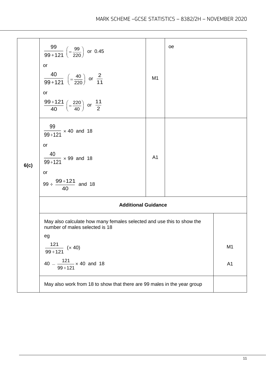| 6(c) | $\frac{99}{99+121}$ $\left(=\frac{99}{220}\right)$ or 0.45<br><b>or</b><br>$\frac{40}{99+121}$ $\left(=\frac{40}{220}\right)$ or $\frac{2}{11}$<br>or<br>$\frac{99+121}{40}$ $\left(=\frac{220}{40}\right)$ or $\frac{11}{2}$ | M <sub>1</sub> | oe |                |
|------|-------------------------------------------------------------------------------------------------------------------------------------------------------------------------------------------------------------------------------|----------------|----|----------------|
|      | $\frac{99}{99+121}$ × 40 and 18<br>or<br>$\frac{40}{99+121}$ × 99 and 18<br>or<br>99 ÷ $\frac{99+121}{40}$ and 18                                                                                                             | A <sub>1</sub> |    |                |
|      | <b>Additional Guidance</b>                                                                                                                                                                                                    |                |    |                |
|      | May also calculate how many females selected and use this to show the<br>number of males selected is 18<br>eg                                                                                                                 |                |    |                |
|      | $121$<br>(x 40)<br>$99 + 121$                                                                                                                                                                                                 |                |    | M <sub>1</sub> |
|      | $40 - \frac{121}{99 + 121} \times 40$ and 18                                                                                                                                                                                  |                |    | A1             |
|      | May also work from 18 to show that there are 99 males in the year group                                                                                                                                                       |                |    |                |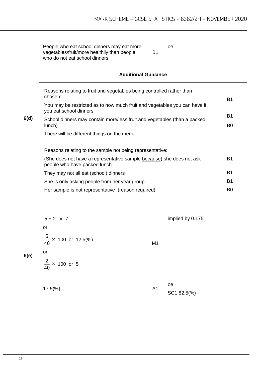|      | People who eat school dinners may eat more<br>vegetables/fruit/more healthily than people<br>who do not eat school dinners | B <sub>1</sub>              | oe |                |
|------|----------------------------------------------------------------------------------------------------------------------------|-----------------------------|----|----------------|
|      | <b>Additional Guidance</b>                                                                                                 |                             |    |                |
|      | Reasons relating to fruit and vegetables being controlled rather than<br>chosen:                                           |                             |    | <b>B1</b>      |
|      | You may be restricted as to how much fruit and vegetables you can have if<br>you eat school dinners                        |                             |    |                |
| 6(d) | School dinners may contain more/less fruit and vegetables (than a packed<br>lunch)                                         | <b>B1</b><br>B <sub>0</sub> |    |                |
|      | There will be different things on the menu                                                                                 |                             |    |                |
|      | Reasons relating to the sample not being representative:                                                                   |                             |    |                |
|      | (She does not have a representative sample because) she does not ask<br>people who have packed lunch                       | <b>B1</b>                   |    |                |
|      | They may not all eat (school) dinners                                                                                      |                             |    | <b>B1</b>      |
|      | She is only asking people from her year group                                                                              |                             |    | B1             |
|      | Her sample is not representative (reason required)                                                                         |                             |    | B <sub>0</sub> |
|      |                                                                                                                            |                             |    |                |

| 6(e) | $5 + 2$ or 7<br>or<br>$\frac{5}{40}$ × 100 or 12.5(%)<br>or<br>$\frac{2}{40}$ × 100 or 5 | M1             | implied by 0.175  |
|------|------------------------------------------------------------------------------------------|----------------|-------------------|
|      | $17.5\%$                                                                                 | A <sub>1</sub> | oe<br>SC1 82.5(%) |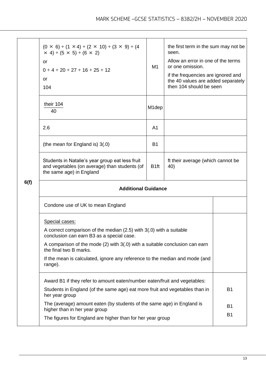|      | $(0 \times 6) + (1 \times 4) + (2 \times 10) + (3 \times 9) + (4$<br>$\times$ 4) + (5 $\times$ 5) + (6 $\times$ 2)<br>or<br>$0+4+20+27+16+25+12$<br>or<br>104 | M <sub>1</sub>     | the first term in the sum may not be<br>seen.<br>Allow an error in one of the terms<br>or one omission.<br>if the frequencies are ignored and<br>the 40 values are added separately<br>then 104 should be seen |                        |  |
|------|---------------------------------------------------------------------------------------------------------------------------------------------------------------|--------------------|----------------------------------------------------------------------------------------------------------------------------------------------------------------------------------------------------------------|------------------------|--|
|      | their 104<br>40                                                                                                                                               | M <sub>1</sub> dep |                                                                                                                                                                                                                |                        |  |
|      | 2.6                                                                                                                                                           | A <sub>1</sub>     |                                                                                                                                                                                                                |                        |  |
|      | (the mean for England is) 3(.0)                                                                                                                               | <b>B1</b>          |                                                                                                                                                                                                                |                        |  |
|      | Students in Natalie's year group eat less fruit<br>and vegetables (on average) than students (of<br>the same age) in England                                  | B <sub>1ft</sub>   | ft their average (which cannot be<br>40)                                                                                                                                                                       |                        |  |
| 6(f) | <b>Additional Guidance</b>                                                                                                                                    |                    |                                                                                                                                                                                                                |                        |  |
|      | Condone use of UK to mean England                                                                                                                             |                    |                                                                                                                                                                                                                |                        |  |
|      | Special cases:<br>A correct comparison of the median (2.5) with 3(.0) with a suitable                                                                         |                    |                                                                                                                                                                                                                |                        |  |
|      | conclusion can earn B3 as a special case.<br>A comparison of the mode (2) with 3(.0) with a suitable conclusion can earn                                      |                    |                                                                                                                                                                                                                |                        |  |
|      | the final two B marks.<br>If the mean is calculated, ignore any reference to the median and mode (and<br>range).                                              |                    |                                                                                                                                                                                                                |                        |  |
|      | Award B1 if they refer to amount eaten/number eaten/fruit and vegetables:                                                                                     |                    |                                                                                                                                                                                                                |                        |  |
|      | Students in England (of the same age) eat more fruit and vegetables than in<br>her year group                                                                 |                    |                                                                                                                                                                                                                | <b>B1</b>              |  |
|      | The (average) amount eaten (by students of the same age) in England is<br>higher than in her year group                                                       |                    |                                                                                                                                                                                                                | <b>B1</b><br><b>B1</b> |  |
|      | The figures for England are higher than for her year group                                                                                                    |                    |                                                                                                                                                                                                                |                        |  |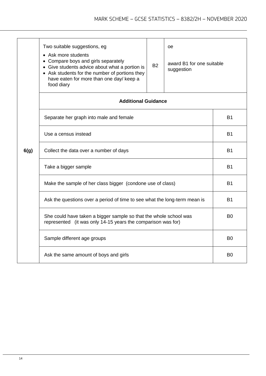|      | Two suitable suggestions, eg<br>• Ask more students<br>Compare boys and girls separately<br>$\bullet$<br>• Give students advice about what a portion is<br>• Ask students for the number of portions they<br>have eaten for more than one day/ keep a<br>food diary | <b>B2</b>      | oe<br>award B1 for one suitable<br>suggestion |           |
|------|---------------------------------------------------------------------------------------------------------------------------------------------------------------------------------------------------------------------------------------------------------------------|----------------|-----------------------------------------------|-----------|
|      | <b>Additional Guidance</b>                                                                                                                                                                                                                                          |                |                                               |           |
|      | Separate her graph into male and female                                                                                                                                                                                                                             |                |                                               | <b>B1</b> |
|      | Use a census instead                                                                                                                                                                                                                                                | <b>B1</b>      |                                               |           |
| 6(g) | Collect the data over a number of days                                                                                                                                                                                                                              | <b>B1</b>      |                                               |           |
|      | Take a bigger sample                                                                                                                                                                                                                                                | <b>B1</b>      |                                               |           |
|      | Make the sample of her class bigger (condone use of class)                                                                                                                                                                                                          | <b>B1</b>      |                                               |           |
|      | Ask the questions over a period of time to see what the long-term mean is                                                                                                                                                                                           | <b>B1</b>      |                                               |           |
|      | She could have taken a bigger sample so that the whole school was<br>represented (it was only 14-15 years the comparison was for)                                                                                                                                   | B <sub>0</sub> |                                               |           |
|      | Sample different age groups                                                                                                                                                                                                                                         | B <sub>0</sub> |                                               |           |
|      | Ask the same amount of boys and girls                                                                                                                                                                                                                               |                |                                               |           |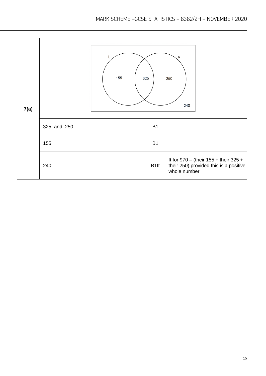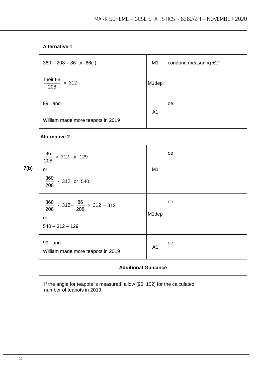|      | <b>Alternative 1</b>                                                                                   |                    |                       |
|------|--------------------------------------------------------------------------------------------------------|--------------------|-----------------------|
|      | $360 - 208 - 86$ or 66(°)                                                                              | M <sub>1</sub>     | condone measuring ±2° |
|      | their 66 $\times$ 312<br>208                                                                           | M <sub>1</sub> dep |                       |
|      | 99 and                                                                                                 |                    | oe                    |
|      | William made more teapots in 2019                                                                      | A <sub>1</sub>     |                       |
|      | <b>Alternative 2</b>                                                                                   |                    |                       |
|      | $\frac{86}{112}$ × 312 or 129<br>208                                                                   |                    | oe                    |
| 7(b) | or                                                                                                     | M1                 |                       |
|      | $\frac{360}{208}$ × 312 or 540                                                                         |                    |                       |
|      | $\frac{360}{208} \times 312 - \frac{86}{208} \times 312 - 312$<br>or<br>$540 - 312 - 129$              | M1dep              | oe                    |
|      | 99 and<br>William made more teapots in 2019                                                            | A <sub>1</sub>     | oe                    |
|      | <b>Additional Guidance</b>                                                                             |                    |                       |
|      | If the angle for teapots is measured, allow [96, 102] for the calculated<br>number of teapots in 2019. |                    |                       |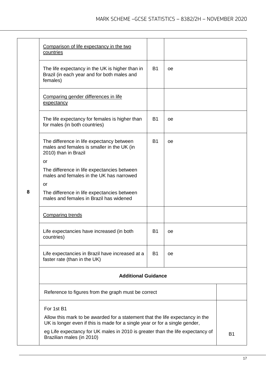|   | Comparison of life expectancy in the two<br>countries                                                                                                                                                                                                        |                |           |           |
|---|--------------------------------------------------------------------------------------------------------------------------------------------------------------------------------------------------------------------------------------------------------------|----------------|-----------|-----------|
|   | The life expectancy in the UK is higher than in<br>Brazil (in each year and for both males and<br>females)                                                                                                                                                   | <b>B1</b>      | 0e        |           |
|   | Comparing gender differences in life<br>expectancy                                                                                                                                                                                                           |                |           |           |
|   | The life expectancy for females is higher than<br>for males (in both countries)                                                                                                                                                                              | <b>B1</b>      | <b>oe</b> |           |
|   | The difference in life expectancy between<br>males and females is smaller in the UK (in<br>2010) than in Brazil                                                                                                                                              | <b>B1</b>      | <b>oe</b> |           |
|   | <b>or</b>                                                                                                                                                                                                                                                    |                |           |           |
|   | The difference in life expectancies between<br>males and females in the UK has narrowed                                                                                                                                                                      |                |           |           |
|   | <b>or</b>                                                                                                                                                                                                                                                    |                |           |           |
| 8 | The difference in life expectancies between<br>males and females in Brazil has widened                                                                                                                                                                       |                |           |           |
|   | <b>Comparing trends</b>                                                                                                                                                                                                                                      |                |           |           |
|   | Life expectancies have increased (in both<br>countries)                                                                                                                                                                                                      | B <sub>1</sub> | <b>oe</b> |           |
|   | Life expectancies in Brazil have increased at a<br>faster rate (than in the UK)                                                                                                                                                                              | <b>B1</b>      | 0e        |           |
|   | <b>Additional Guidance</b>                                                                                                                                                                                                                                   |                |           |           |
|   | Reference to figures from the graph must be correct                                                                                                                                                                                                          |                |           |           |
|   | For 1st B1<br>Allow this mark to be awarded for a statement that the life expectancy in the<br>UK is longer even if this is made for a single year or for a single gender,<br>eg Life expectancy for UK males in 2010 is greater than the life expectancy of |                |           |           |
|   | Brazilian males (in 2010)                                                                                                                                                                                                                                    |                |           | <b>B1</b> |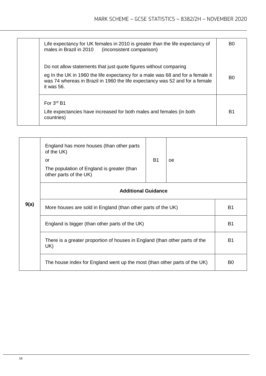| Life expectancy for UK females in 2010 is greater than the life expectancy of<br>males in Brazil in 2010<br>(inconsistent comparison)                                        | B0             |
|------------------------------------------------------------------------------------------------------------------------------------------------------------------------------|----------------|
| Do not allow statements that just quote figures without comparing                                                                                                            |                |
| eg In the UK in 1960 the life expectancy for a male was 68 and for a female it<br>was 74 whereas in Brazil in 1960 the life expectancy was 52 and for a female<br>it was 56. | B <sub>0</sub> |
| For $3^{rd}$ B1                                                                                                                                                              |                |
| Life expectancies have increased for both males and females (in both<br>countries)                                                                                           | B1             |

|      | England has more houses (than other parts<br>of the UK)<br>or<br>The population of England is greater (than<br>other parts of the UK) | <b>B1</b> | 0e |                |
|------|---------------------------------------------------------------------------------------------------------------------------------------|-----------|----|----------------|
|      | <b>Additional Guidance</b>                                                                                                            |           |    |                |
| 9(a) | More houses are sold in England (than other parts of the UK)                                                                          |           |    | <b>B1</b>      |
|      | England is bigger (than other parts of the UK)                                                                                        |           |    | <b>B1</b>      |
|      | There is a greater proportion of houses in England (than other parts of the<br>UK)                                                    |           |    | <b>B1</b>      |
|      | The house index for England went up the most (than other parts of the UK)                                                             |           |    | B <sub>0</sub> |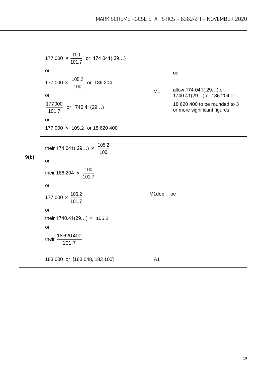|      | 177 000 $\times \frac{100}{101.7}$ or 174 041(.29)<br>or<br>177 000 $\times$ $\frac{105.2}{100}$ or 186 204<br><b>or</b><br>$\frac{177000}{101.7}$ or 1740.41(29)<br>or<br>177 000 × 105.2 or 18 620 400                         | M <sub>1</sub> | oe<br>allow 174 041(.29) or<br>1740.41(29) or 186 204 or<br>18 620 400 to be rounded to 3<br>or more significant figures |
|------|----------------------------------------------------------------------------------------------------------------------------------------------------------------------------------------------------------------------------------|----------------|--------------------------------------------------------------------------------------------------------------------------|
| 9(b) | their 174 041(.29) $\times$ $\frac{105.2}{100}$<br>or<br>their 186 204 $\times \frac{100}{1017}$<br>or<br>177 000 $\times \frac{105.2}{101.7}$<br>or<br>their $1740.41(29) \times 105.2$<br>or<br>their $\frac{18620400}{101.7}$ | M1dep          | oe                                                                                                                       |
|      | 183 000 or [183 048, 183 100]                                                                                                                                                                                                    | A <sub>1</sub> |                                                                                                                          |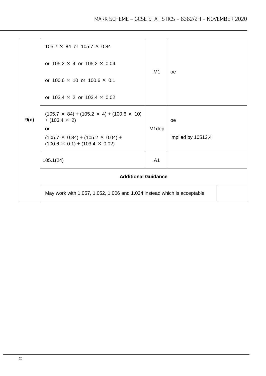|      | 105.7 $\times$ 84 or 105.7 $\times$ 0.84                                                          | M1                 |                    |  |
|------|---------------------------------------------------------------------------------------------------|--------------------|--------------------|--|
|      | or $105.2 \times 4$ or $105.2 \times 0.04$                                                        |                    |                    |  |
|      | or $100.6 \times 10$ or $100.6 \times 0.1$                                                        |                    | <b>oe</b>          |  |
|      | or 103.4 $\times$ 2 or 103.4 $\times$ 0.02                                                        |                    |                    |  |
| 9(c) | $(105.7 \times 84) + (105.2 \times 4) + (100.6 \times 10)$<br>$+ (103.4 \times 2)$                |                    | <b>oe</b>          |  |
|      | or<br>$(105.7 \times 0.84) + (105.2 \times 0.04) +$<br>$(100.6 \times 0.1) + (103.4 \times 0.02)$ | M <sub>1</sub> dep | implied by 10512.4 |  |
|      | 105.1(24)                                                                                         | A <sub>1</sub>     |                    |  |
|      | <b>Additional Guidance</b>                                                                        |                    |                    |  |
|      | May work with 1.057, 1.052, 1.006 and 1.034 instead which is acceptable                           |                    |                    |  |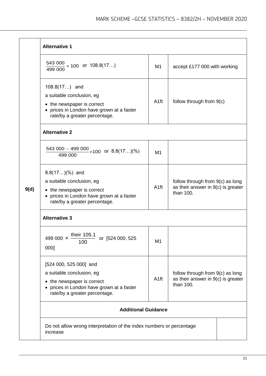|      | <b>Alternative 1</b>                                                                                                                                                       |                  |                                                                                       |  |  |
|------|----------------------------------------------------------------------------------------------------------------------------------------------------------------------------|------------------|---------------------------------------------------------------------------------------|--|--|
|      | $\frac{543\,000}{100} \times 100$ or $108.8(17)$<br>499 000                                                                                                                | M <sub>1</sub>   | accept £177 000 with working                                                          |  |  |
|      | 108.8(17) and<br>a suitable conclusion, eg<br>• the newspaper is correct<br>• prices in London have grown at a faster<br>rate/by a greater percentage.                     | A <sub>1ft</sub> | follow through from 9(c)                                                              |  |  |
|      | <b>Alternative 2</b>                                                                                                                                                       |                  |                                                                                       |  |  |
|      | $\frac{543\,000 - 499\,000}{100} \times 100$ or 8.8(17)(%)<br>499 000                                                                                                      | M <sub>1</sub>   |                                                                                       |  |  |
| 9(d) | $8.8(17)(% )$ and<br>a suitable conclusion, eg<br>• the newspaper is correct<br>• prices in London have grown at a faster<br>rate/by a greater percentage.                 | A <sub>1ft</sub> | follow through from 9(c) as long<br>as their answer in $9(c)$ is greater<br>than 100. |  |  |
|      | <b>Alternative 3</b>                                                                                                                                                       |                  |                                                                                       |  |  |
|      | 499 000 $\times$ their 105.1<br>or [524 000, 525<br>100<br>000]                                                                                                            | M <sub>1</sub>   |                                                                                       |  |  |
|      | [524 000, 525 000] and<br>a suitable conclusion, eg<br>• the newspaper is correct<br>prices in London have grown at a faster<br>$\bullet$<br>rate/by a greater percentage. | A <sub>1ft</sub> | follow through from 9(c) as long<br>as their answer in 9(c) is greater<br>than 100.   |  |  |
|      | <b>Additional Guidance</b>                                                                                                                                                 |                  |                                                                                       |  |  |
|      | Do not allow wrong interpretation of the index numbers or percentage<br>increase                                                                                           |                  |                                                                                       |  |  |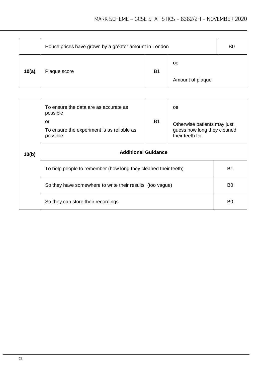|       | House prices have grown by a greater amount in London |           |                  | B <sub>0</sub> |
|-------|-------------------------------------------------------|-----------|------------------|----------------|
| 10(a) | Plaque score                                          | <b>B1</b> | oe               |                |
|       |                                                       |           | Amount of plaque |                |

|       | To ensure the data are as accurate as<br>possible<br>or<br>To ensure the experiment is as reliable as<br>possible | <b>B1</b>      | 0e<br>Otherwise patients may just<br>guess how long they cleaned<br>their teeth for |  |
|-------|-------------------------------------------------------------------------------------------------------------------|----------------|-------------------------------------------------------------------------------------|--|
| 10(b) | <b>Additional Guidance</b>                                                                                        |                |                                                                                     |  |
|       | To help people to remember (how long they cleaned their teeth)                                                    | B1             |                                                                                     |  |
|       | So they have somewhere to write their results (too vague)                                                         | B <sub>0</sub> |                                                                                     |  |
|       | So they can store their recordings                                                                                | B0             |                                                                                     |  |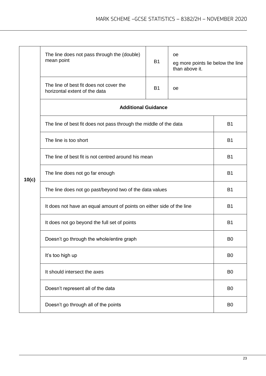|       | The line does not pass through the (double)<br>mean point                    | <b>B1</b> | oe<br>eg more points lie below the line<br>than above it. |                |  |
|-------|------------------------------------------------------------------------------|-----------|-----------------------------------------------------------|----------------|--|
|       | The line of best fit does not cover the<br>horizontal extent of the data     | <b>B1</b> | oe                                                        |                |  |
|       | <b>Additional Guidance</b>                                                   |           |                                                           |                |  |
|       | The line of best fit does not pass through the middle of the data            |           |                                                           | <b>B1</b>      |  |
|       | The line is too short<br>The line of best fit is not centred around his mean |           |                                                           |                |  |
|       |                                                                              |           |                                                           |                |  |
| 10(c) | The line does not go far enough                                              | <b>B1</b> |                                                           |                |  |
|       | The line does not go past/beyond two of the data values                      |           | <b>B1</b>                                                 |                |  |
|       | It does not have an equal amount of points on either side of the line        | <b>B1</b> |                                                           |                |  |
|       | It does not go beyond the full set of points                                 |           |                                                           | <b>B1</b>      |  |
|       | Doesn't go through the whole/entire graph                                    |           |                                                           | B <sub>0</sub> |  |
|       | It's too high up                                                             |           |                                                           | B <sub>0</sub> |  |
|       | It should intersect the axes                                                 |           |                                                           | B <sub>0</sub> |  |
|       | Doesn't represent all of the data                                            |           |                                                           | B <sub>0</sub> |  |
|       | Doesn't go through all of the points                                         |           |                                                           |                |  |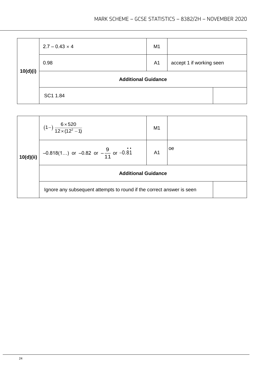| 10(d)(i) | $2.7 - 0.43 \times 4$      | M <sub>1</sub> |                          |
|----------|----------------------------|----------------|--------------------------|
|          | 0.98                       | A <sub>1</sub> | accept 1 if working seen |
|          | <b>Additional Guidance</b> |                |                          |
|          | SC1 1.84                   |                |                          |

|           | $(1-)$ $\frac{6 \times 520}{12 \times (12^2-1)}$                      | M <sub>1</sub> |     |
|-----------|-----------------------------------------------------------------------|----------------|-----|
| 10(d)(ii) | $-0.818(1)$ or $-0.82$ or $-\frac{9}{11}$ or $-0.81$                  | A <sub>1</sub> | loe |
|           | <b>Additional Guidance</b>                                            |                |     |
|           | Ignore any subsequent attempts to round if the correct answer is seen |                |     |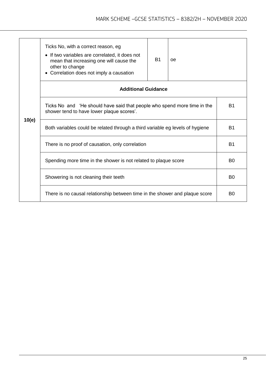|       | Ticks No, with a correct reason, eg<br>• If two variables are correlated, it does not<br>mean that increasing one will cause the<br>other to change<br>• Correlation does not imply a causation | <b>B1</b>                  | <b>oe</b>      |                |  |  |
|-------|-------------------------------------------------------------------------------------------------------------------------------------------------------------------------------------------------|----------------------------|----------------|----------------|--|--|
|       |                                                                                                                                                                                                 | <b>Additional Guidance</b> |                |                |  |  |
|       | <b>B1</b><br>Ticks No and 'He should have said that people who spend more time in the<br>shower tend to have lower plaque scores'.                                                              |                            |                |                |  |  |
| 10(e) | Both variables could be related through a third variable eg levels of hygiene                                                                                                                   |                            |                |                |  |  |
|       | There is no proof of causation, only correlation                                                                                                                                                |                            |                |                |  |  |
|       | Spending more time in the shower is not related to plaque score                                                                                                                                 |                            |                |                |  |  |
|       | Showering is not cleaning their teeth                                                                                                                                                           |                            | B <sub>0</sub> |                |  |  |
|       | There is no causal relationship between time in the shower and plaque score                                                                                                                     |                            |                | B <sub>0</sub> |  |  |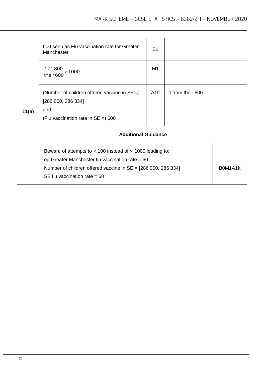|       | 600 seen as Flu vaccination rate for Greater<br>Manchester<br>$171800 \times 1000$                                                                                                                                                | <b>B1</b><br>M1  |                   |          |
|-------|-----------------------------------------------------------------------------------------------------------------------------------------------------------------------------------------------------------------------------------|------------------|-------------------|----------|
| 11(a) | their 600<br>(Number of children offered vaccine in $SE =$ )<br>[286 000, 286 334]<br>and<br>(Flu vaccination rate in $SE = 600$                                                                                                  | A <sub>1ft</sub> | ft from their 600 |          |
|       | <b>Additional Guidance</b>                                                                                                                                                                                                        |                  |                   |          |
|       | Beware of attempts to $\times$ 100 instead of $\times$ 1000 leading to:<br>eg Greater Manchester flu vaccination rate = $60$<br>Number of children offered vaccine in $SE = [286 000, 286 334]$<br>SE flu vaccination rate = $60$ |                  |                   | B0M1A1ft |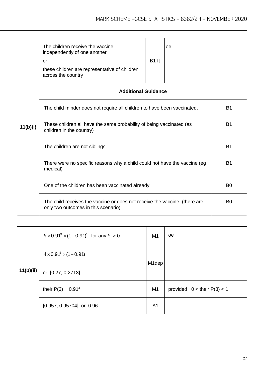|          | The children receive the vaccine<br>independently of one another<br>or<br>these children are representative of children<br>across the country | B <sub>1</sub> ft | <sub>0e</sub> |  |  |  |
|----------|-----------------------------------------------------------------------------------------------------------------------------------------------|-------------------|---------------|--|--|--|
|          | <b>Additional Guidance</b>                                                                                                                    |                   |               |  |  |  |
|          | The child minder does not require all children to have been vaccinated.                                                                       | <b>B1</b>         |               |  |  |  |
| 11(b)(i) | These children all have the same probability of being vaccinated (as<br>children in the country)<br>The children are not siblings             |                   |               |  |  |  |
|          |                                                                                                                                               |                   |               |  |  |  |
|          | There were no specific reasons why a child could not have the vaccine (eg<br>medical)                                                         |                   |               |  |  |  |
|          | One of the children has been vaccinated already                                                                                               | B <sub>0</sub>    |               |  |  |  |
|          | The child receives the vaccine or does not receive the vaccine (there are<br>only two outcomes in this scenario)                              | B <sub>0</sub>    |               |  |  |  |

|           | $k \times 0.91^3 \times (1 - 0.91)^1$ for any $k > 0$ | M1             | <b>oe</b>                     |
|-----------|-------------------------------------------------------|----------------|-------------------------------|
|           | $4 \times 0.91^3 \times (1 - 0.91)$                   | M1dep          |                               |
| 11(b)(ii) | or [0.27, 0.2713]                                     |                |                               |
|           | their $P(3) + 0.914$                                  | M <sub>1</sub> | provided $0 <$ their P(3) < 1 |
|           | $[0.957, 0.95704]$ or 0.96                            | A <sub>1</sub> |                               |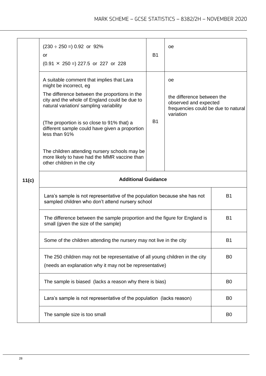|                                                                                                                                         | $(230 \div 250 = 0.92)$ or 92%<br>or<br>$(0.91 \times 250 = 227.5 \text{ or } 227 \text{ or } 228)$                                                                                                                                                                                                                                                                                                                                                              | <b>B1</b> | <b>oe</b>                                                                                                     |                |  |
|-----------------------------------------------------------------------------------------------------------------------------------------|------------------------------------------------------------------------------------------------------------------------------------------------------------------------------------------------------------------------------------------------------------------------------------------------------------------------------------------------------------------------------------------------------------------------------------------------------------------|-----------|---------------------------------------------------------------------------------------------------------------|----------------|--|
|                                                                                                                                         | A suitable comment that implies that Lara<br>might be incorrect, eg<br>The difference between the proportions in the<br>city and the whole of England could be due to<br>natural variation/ sampling variability<br>(The proportion is so close to 91% that) a<br>different sample could have given a proportion<br>less than 91%<br>The children attending nursery schools may be<br>more likely to have had the MMR vaccine than<br>other children in the city | <b>B1</b> | 0e<br>the difference between the<br>observed and expected<br>frequencies could be due to natural<br>variation |                |  |
| 11(c)                                                                                                                                   | <b>Additional Guidance</b>                                                                                                                                                                                                                                                                                                                                                                                                                                       |           |                                                                                                               |                |  |
|                                                                                                                                         | Lara's sample is not representative of the population because she has not<br>sampled children who don't attend nursery school<br>The difference between the sample proportion and the figure for England is<br>small (given the size of the sample)                                                                                                                                                                                                              |           |                                                                                                               | B1             |  |
|                                                                                                                                         |                                                                                                                                                                                                                                                                                                                                                                                                                                                                  |           |                                                                                                               | <b>B1</b>      |  |
|                                                                                                                                         | Some of the children attending the nursery may not live in the city                                                                                                                                                                                                                                                                                                                                                                                              |           |                                                                                                               | <b>B1</b>      |  |
| The 250 children may not be representative of all young children in the city<br>(needs an explanation why it may not be representative) |                                                                                                                                                                                                                                                                                                                                                                                                                                                                  |           |                                                                                                               | B <sub>0</sub> |  |
|                                                                                                                                         | The sample is biased (lacks a reason why there is bias)                                                                                                                                                                                                                                                                                                                                                                                                          |           |                                                                                                               |                |  |
|                                                                                                                                         | Lara's sample is not representative of the population (lacks reason)                                                                                                                                                                                                                                                                                                                                                                                             |           |                                                                                                               | B <sub>0</sub> |  |
|                                                                                                                                         | The sample size is too small                                                                                                                                                                                                                                                                                                                                                                                                                                     |           |                                                                                                               |                |  |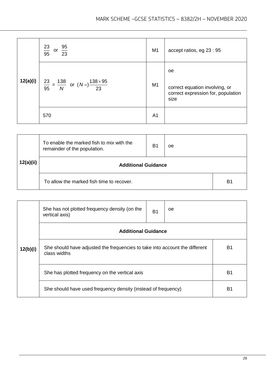|          | $\frac{23}{95}$<br>$\frac{95}{23}$<br>or                          | M <sub>1</sub> | accept ratios, eg 23 : 95                                                                     |
|----------|-------------------------------------------------------------------|----------------|-----------------------------------------------------------------------------------------------|
| 12(a)(i) | $\frac{23}{95} = \frac{138}{N}$ or $(N=)\frac{138 \times 95}{23}$ | M <sub>1</sub> | <sub>oe</sub><br>correct equation involving, or<br>correct expression for, population<br>size |
|          | 570                                                               | A <sub>1</sub> |                                                                                               |

| 12(a)(ii) | To enable the marked fish to mix with the<br>remainder of the population. | B1             | oе |  |
|-----------|---------------------------------------------------------------------------|----------------|----|--|
|           | <b>Additional Guidance</b>                                                |                |    |  |
|           | To allow the marked fish time to recover.                                 | B <sub>1</sub> |    |  |

|                            | She has not plotted frequency density (on the<br>vertical axis)                             | B1             | oe |  |  |
|----------------------------|---------------------------------------------------------------------------------------------|----------------|----|--|--|
| <b>Additional Guidance</b> |                                                                                             |                |    |  |  |
| 12(b)(i)                   | She should have adjusted the frequencies to take into account the different<br>class widths |                |    |  |  |
|                            | She has plotted frequency on the vertical axis                                              | B <sub>1</sub> |    |  |  |
|                            | She should have used frequency density (instead of frequency)                               | B1             |    |  |  |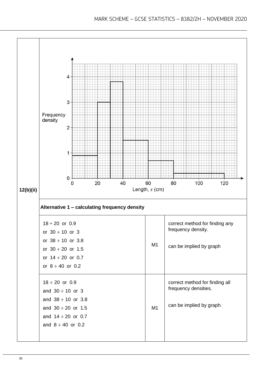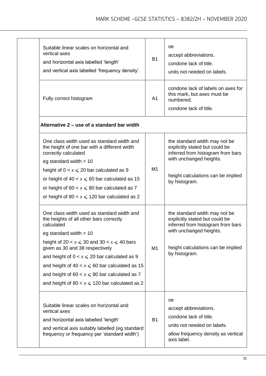| Suitable linear scales on horizontal and<br>vertical axes<br>and horizontal axis labelled 'length'<br>and vertical axis labelled 'frequency density'.                                                                                                                                                                                                                                                                                       | <b>B1</b>      | <b>oe</b><br>accept abbreviations.<br>condone lack of title.<br>units not needed on labels.                                                                                            |
|---------------------------------------------------------------------------------------------------------------------------------------------------------------------------------------------------------------------------------------------------------------------------------------------------------------------------------------------------------------------------------------------------------------------------------------------|----------------|----------------------------------------------------------------------------------------------------------------------------------------------------------------------------------------|
| Fully correct histogram                                                                                                                                                                                                                                                                                                                                                                                                                     | A <sub>1</sub> | condone lack of labels on axes for<br>this mark, but axes must be<br>numbered.<br>condone lack of title.                                                                               |
| Alternative 2 – use of a standard bar width                                                                                                                                                                                                                                                                                                                                                                                                 |                |                                                                                                                                                                                        |
| One class width used as standard width and<br>the height of one bar with a different width<br>correctly calculated<br>eg standard width = $10$<br>height of $0 < x \le 20$ bar calculated as 9<br>or height of $40 < x \le 60$ bar calculated as 15<br>or height of 60 $x \le 80$ bar calculated as 7<br>or height of 80 $x \le 120$ bar calculated as 2                                                                                    | M1             | the standard width may not be<br>explicitly stated but could be<br>inferred from histogram from bars<br>with unchanged heights.<br>height calculations can be implied<br>by histogram. |
| One class width used as standard width and<br>the heights of all other bars correctly<br>calculated<br>eg standard width $= 10$<br>height of 20 $\lt x \le 30$ and 30 $\lt x \le 40$ bars<br>given as 30 and 38 respectively<br>and height of $0 < x \le 20$ bar calculated as 9<br>and height of 40 $x \le 60$ bar calculated as 15<br>and height of 60 $x \le 80$ bar calculated as 7<br>and height of 80 $x \le 120$ bar calculated as 2 | M1             | the standard width may not be<br>explicitly stated but could be<br>inferred from histogram from bars<br>with unchanged heights.<br>height calculations can be implied<br>by histogram. |
| Suitable linear scales on horizontal and<br>vertical axes<br>and horizontal axis labelled 'length'<br>and vertical axis suitably labelled (eg standard<br>frequency or frequency per 'standard width')                                                                                                                                                                                                                                      | <b>B1</b>      | 0e<br>accept abbreviations.<br>condone lack of title.<br>units not needed on labels.<br>allow frequency density as vertical<br>axis label.                                             |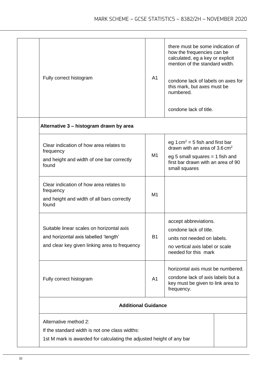| frequency<br>found<br>frequency<br>found | Alternative method 2:<br>If the standard width is not one class widths:<br>1st M mark is awarded for calculating the adjusted height of any bar |                |                                                                                                                                                                                                           |
|------------------------------------------|-------------------------------------------------------------------------------------------------------------------------------------------------|----------------|-----------------------------------------------------------------------------------------------------------------------------------------------------------------------------------------------------------|
|                                          | <b>Additional Guidance</b>                                                                                                                      |                |                                                                                                                                                                                                           |
|                                          | Fully correct histogram                                                                                                                         | A <sub>1</sub> | horizontal axis must be numbered.<br>condone lack of axis labels but a<br>key must be given to link area to<br>frequency.                                                                                 |
|                                          | Suitable linear scales on horizontal axis<br>and horizontal axis labelled 'length'<br>and clear key given linking area to frequency             | B1             | accept abbreviations.<br>condone lack of title.<br>units not needed on labels.<br>no vertical axis label or scale<br>needed for this mark                                                                 |
|                                          | Clear indication of how area relates to<br>and height and width of all bars correctly                                                           | M1             |                                                                                                                                                                                                           |
|                                          | Clear indication of how area relates to<br>and height and width of one bar correctly                                                            | M <sub>1</sub> | eg 1 cm <sup>2</sup> = 5 fish and first bar<br>drawn with an area of $3.6 \text{ cm}^2$<br>eg 5 small squares $= 1$ fish and<br>first bar drawn with an area of 90<br>small squares                       |
|                                          | Alternative 3 - histogram drawn by area                                                                                                         |                | numbered.<br>condone lack of title.                                                                                                                                                                       |
|                                          | Fully correct histogram                                                                                                                         | A <sub>1</sub> | there must be some indication of<br>how the frequencies can be<br>calculated, eg a key or explicit<br>mention of the standard width.<br>condone lack of labels on axes for<br>this mark, but axes must be |